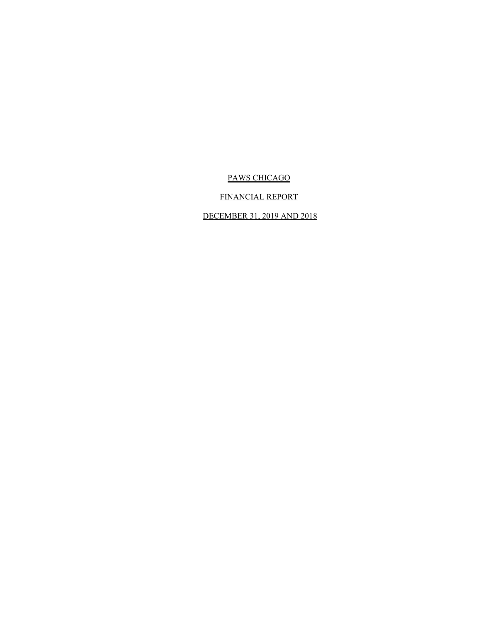# FINANCIAL REPORT

# DECEMBER 31, 2019 AND 2018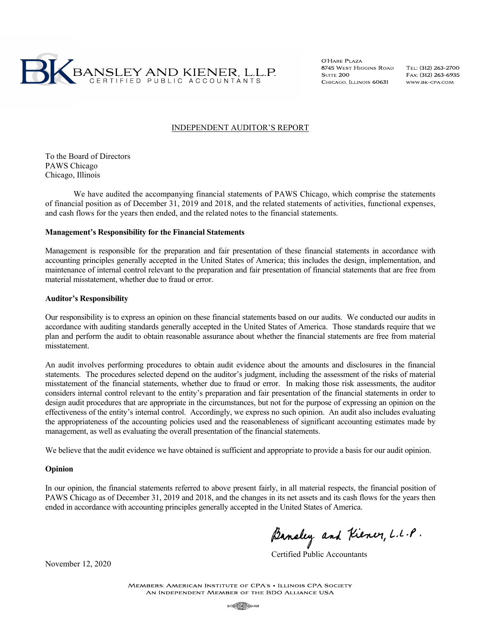

O'HARE PLAZA 8745 WEST HIGGINS ROAD **SUITE 200** CHICAGO. ILLINOIS 60631

TEL: (312) 263-2700 FAX: (312) 263-6935 WWW.BK-CPA.COM

## INDEPENDENT AUDITOR'S REPORT

To the Board of Directors PAWS Chicago Chicago, Illinois

We have audited the accompanying financial statements of PAWS Chicago, which comprise the statements of financial position as of December 31, 2019 and 2018, and the related statements of activities, functional expenses, and cash flows for the years then ended, and the related notes to the financial statements.

## **Management's Responsibility for the Financial Statements**

Management is responsible for the preparation and fair presentation of these financial statements in accordance with accounting principles generally accepted in the United States of America; this includes the design, implementation, and maintenance of internal control relevant to the preparation and fair presentation of financial statements that are free from material misstatement, whether due to fraud or error.

## **Auditor's Responsibility**

Our responsibility is to express an opinion on these financial statements based on our audits. We conducted our audits in accordance with auditing standards generally accepted in the United States of America. Those standards require that we plan and perform the audit to obtain reasonable assurance about whether the financial statements are free from material misstatement.

An audit involves performing procedures to obtain audit evidence about the amounts and disclosures in the financial statements. The procedures selected depend on the auditor's judgment, including the assessment of the risks of material misstatement of the financial statements, whether due to fraud or error. In making those risk assessments, the auditor considers internal control relevant to the entity's preparation and fair presentation of the financial statements in order to design audit procedures that are appropriate in the circumstances, but not for the purpose of expressing an opinion on the effectiveness of the entity's internal control. Accordingly, we express no such opinion. An audit also includes evaluating the appropriateness of the accounting policies used and the reasonableness of significant accounting estimates made by management, as well as evaluating the overall presentation of the financial statements.

We believe that the audit evidence we have obtained is sufficient and appropriate to provide a basis for our audit opinion.

### **Opinion**

In our opinion, the financial statements referred to above present fairly, in all material respects, the financial position of PAWS Chicago as of December 31, 2019 and 2018, and the changes in its net assets and its cash flows for the years then ended in accordance with accounting principles generally accepted in the United States of America.

Banaley and Kiener, L.L.P.<br>Certified Public Accountants

November 12, 2020

**MEMBERS: AMERICAN INSTITUTE OF CPA'S . ILLINOIS CPA SOCIETY** AN INDEPENDENT MEMBER OF THE BDO ALLIANCE USA

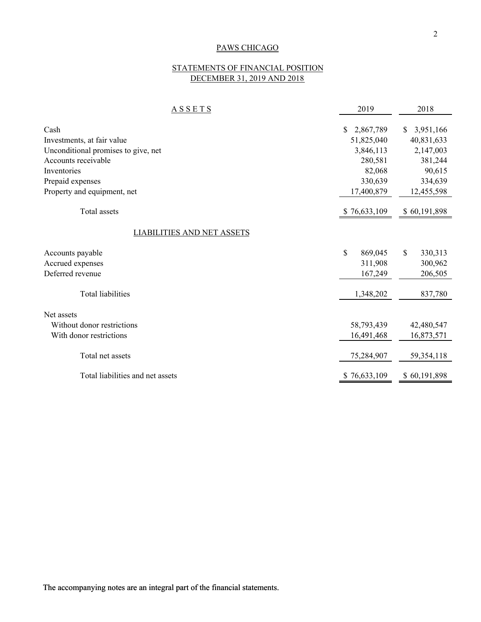# STATEMENTS OF FINANCIAL POSITION DECEMBER 31, 2019 AND 2018

| <b>ASSETS</b>                       | 2019          | 2018                    |
|-------------------------------------|---------------|-------------------------|
| Cash                                | \$            | <sup>S</sup>            |
|                                     | 2,867,789     | 3,951,166               |
| Investments, at fair value          | 51,825,040    | 40,831,633              |
| Unconditional promises to give, net | 3,846,113     | 2,147,003               |
| Accounts receivable                 | 280,581       | 381,244                 |
| Inventories                         | 82,068        | 90,615                  |
| Prepaid expenses                    | 330,639       | 334,639                 |
| Property and equipment, net         | 17,400,879    | 12,455,598              |
| Total assets                        | \$76,633,109  | \$60,191,898            |
| LIABILITIES AND NET ASSETS          |               |                         |
| Accounts payable                    | \$<br>869,045 | $\mathbb{S}$<br>330,313 |
| Accrued expenses                    | 311,908       | 300,962                 |
| Deferred revenue                    | 167,249       | 206,505                 |
| <b>Total liabilities</b>            | 1,348,202     | 837,780                 |
| Net assets                          |               |                         |
| Without donor restrictions          | 58,793,439    | 42,480,547              |
| With donor restrictions             | 16,491,468    | 16,873,571              |
| Total net assets                    | 75,284,907    | 59,354,118              |
| Total liabilities and net assets    | \$76,633,109  | \$60,191,898            |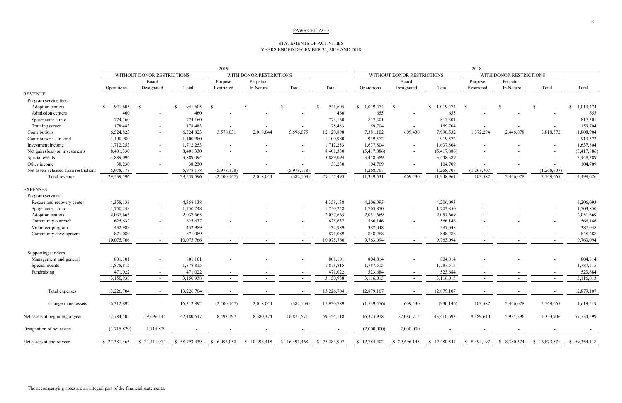## STATEMENTS OF ACTIVITIES YEARS ENDED DECEMBER 31, 2019 AND 2018

|                                       | 2019                                                  |                          |                          |                          |                                                       | 2018                     |                          |                 |                          |              |                          |                          |               |                           |
|---------------------------------------|-------------------------------------------------------|--------------------------|--------------------------|--------------------------|-------------------------------------------------------|--------------------------|--------------------------|-----------------|--------------------------|--------------|--------------------------|--------------------------|---------------|---------------------------|
|                                       | WITHOUT DONOR RESTRICTIONS<br>WITH DONOR RESTRICTIONS |                          |                          |                          | WITHOUT DONOR RESTRICTIONS<br>WITH DONOR RESTRICTIONS |                          |                          |                 |                          |              |                          |                          |               |                           |
|                                       | Board                                                 |                          |                          | Purpose<br>Perpetual     |                                                       |                          |                          | Board           |                          | Purpose      | Perpetual                |                          |               |                           |
|                                       | Operations                                            | Designated               | Total                    | Restricted               | In Nature                                             | Total                    | Total                    | Operations      | Designated               | Total        | Restricted               | In Nature                | Total         | Total                     |
| <b>REVENUE</b>                        |                                                       |                          |                          |                          |                                                       |                          |                          |                 |                          |              |                          |                          |               |                           |
| Program service fees:                 |                                                       |                          |                          |                          |                                                       |                          |                          |                 |                          |              |                          |                          |               |                           |
| Adoption centers                      | 941,605<br><sup>\$</sup>                              | - \$                     | 941,605                  | \$                       | <sup>\$</sup>                                         | -8                       | 941,605                  | \$<br>1,019,474 | -S                       | \$1,019,474  | -S                       | -S                       | <sup>\$</sup> | ,019,474<br><sup>\$</sup> |
| Admission centers                     | 460                                                   | $\overline{\phantom{a}}$ | 460                      |                          |                                                       | $\overline{\phantom{0}}$ | 460                      | 655             | $\overline{\phantom{a}}$ | 655          |                          |                          |               | 655                       |
| Spay/neuter clinic                    | 774,160                                               |                          | 774,160                  |                          |                                                       |                          | 774,160                  | 817,301         | $\overline{\phantom{a}}$ | 817,301      |                          |                          |               | 817,301                   |
| Training center                       | 178,483                                               |                          | 178,483                  | $\overline{\phantom{a}}$ |                                                       | $\sim$                   | 178,483                  | 159,704         | $\overline{a}$           | 159,704      |                          |                          | $\sim$        | 159,704                   |
| Contributions                         | 6,524,823                                             |                          | 6,524,823                | 3,578,031                | 2,018,044                                             | 5,596,075                | 12,120,898               | 7,381,102       | 609,430                  | 7,990,532    | 1,372,294                | 2,446,078                | 3,818,372     | 11,808,904                |
| Contributions - in kind               | 1,100,980                                             |                          | 1,100,980                | $\overline{\phantom{a}}$ |                                                       | $\sim$                   | 1,100,980                | 919,572         | $\sim$                   | 919,572      | $\overline{\phantom{a}}$ |                          | $\sim$        | 919,572                   |
| Investment income                     | 1,712,253                                             |                          | 1,712,253                |                          |                                                       | $\sim$                   | 1,712,253                | 1,637,804       | $\sim$                   | 1,637,804    |                          |                          | $\sim$        | 1,637,804                 |
| Net gain (loss) on investments        | 8,401,330                                             |                          | 8,401,330                |                          |                                                       | $\overline{\phantom{0}}$ | 8,401,330                | (5,417,886)     | $\sim$                   | (5,417,886)  |                          |                          |               | (5,417,886)               |
| Special events                        | 3,889,094                                             |                          | 3,889,094                |                          |                                                       |                          | 3,889,094                | 3,448,389       | $\sim$                   | 3,448,389    |                          |                          |               | 3,448,389                 |
| Other income                          | 38,230                                                |                          | 38,230                   |                          |                                                       |                          | 38,230                   | 104,709         |                          | 104,709      |                          |                          |               | 104,709                   |
| Net assets released from restrictions | 5,978,178                                             |                          | 5,978,178                | (5,978,178)              |                                                       | (5,978,178)              |                          | 1,268,707       |                          | 1,268,707    | (1,268,707)              |                          | (1,268,707)   |                           |
| Total revenue                         | 29,539,596                                            |                          | 29,539,596               | (2,400,147)              | 2,018,044                                             | (382, 103)               | 29,157,493               | 11,339,531      | 609,430                  | 11,948,961   | 103,587                  | 2,446,078                | 2,549,665     | 14,498,626                |
| <b>EXPENSES</b>                       |                                                       |                          |                          |                          |                                                       |                          |                          |                 |                          |              |                          |                          |               |                           |
| Program services:                     |                                                       |                          |                          |                          |                                                       |                          |                          |                 |                          |              |                          |                          |               |                           |
| Rescue and recovery center            | 4,358,138                                             |                          | 4,358,138                |                          |                                                       |                          | 4,358,138                | 4,206,093       | $\sim$                   | 4,206,093    |                          |                          |               | 4,206,093                 |
| Spay/neuter clinic                    | 1,750,248                                             | $\overline{\phantom{0}}$ | 1,750,248                |                          |                                                       | $\overline{\phantom{a}}$ | 1,750,248                | 1,703,850       | $\sim$                   | 1,703,850    |                          |                          | $\sim$        | 1,703,850                 |
| Adoption centers                      | 2,037,665                                             |                          | 2,037,665                |                          |                                                       | $\sim$                   | 2,037,665                | 2,051,669       | $\sim$                   | 2,051,669    |                          |                          | $\sim$        | 2,051,669                 |
| Community outreach                    | 625,637                                               |                          | 625,637                  |                          |                                                       |                          | 625,637                  | 566,146         | $\sim$                   | 566,146      |                          |                          |               | 566,146                   |
| Volunteer program                     | 432,989                                               |                          | 432,989                  |                          |                                                       |                          | 432,989                  | 387,048         | $\overline{\phantom{a}}$ | 387,048      |                          |                          |               | 387,048                   |
| Community development                 | 871,089                                               |                          | 871,089                  |                          |                                                       |                          | 871,089                  | 848,288         |                          | 848,288      |                          |                          |               | 848,288                   |
|                                       | 10,075,766                                            |                          | 10,075,766               |                          |                                                       |                          | 10,075,766               | 9,763,094       |                          | 9,763,094    |                          |                          |               | 9,763,094                 |
| Supporting services:                  |                                                       |                          |                          |                          |                                                       |                          |                          |                 |                          |              |                          |                          |               |                           |
| Management and general                | 801,101                                               |                          | 801,101                  |                          |                                                       |                          | 801,101                  | 804,814         | $\sim$                   | 804,814      |                          |                          |               | 804,814                   |
| Special events                        | 1,878,815                                             |                          | 1,878,815                |                          |                                                       |                          | 1,878,815                | 1,787,515       | $\sim$                   | 1,787,515    |                          |                          |               | 1,787,515                 |
| Fundraising                           | 471,022                                               |                          | 471,022                  |                          |                                                       | $-$                      | 471,022                  | 523,684         | $\sim$                   | 523,684      |                          |                          |               | 523,684                   |
|                                       | 3,150,938                                             | $\sim$                   | 3,150,938                | $\overline{\phantom{a}}$ |                                                       | $\sim$                   | 3,150,938                | 3,116,013       | $\sim$                   | 3,116,013    | $\sim$                   | $\overline{\phantom{a}}$ | $\sim$        | 3,116,013                 |
| Total expenses                        | 13,226,704                                            |                          | 13,226,704               |                          |                                                       |                          | 13,226,704               | 12,879,107      |                          | 12,879,107   |                          |                          |               | 12,879,107                |
| Change in net assets                  | 16,312,892                                            |                          | 16,312,892               | (2,400,147)              | 2,018,044                                             | (382, 103)               | 15,930,789               | (1,539,576)     | 609,430                  | (930, 146)   | 103,587                  | 2,446,078                | 2,549,665     | 1,619,519                 |
| Net assets at beginning of year       | 12,784,402                                            | 29,696,145               | 42,480,547               | 8,493,197                | 8,380,374                                             | 16,873,571               | 59,354,118               | 16,323,978      | 27,086,715               | 43,410,693   | 8,389,610                | 5,934,296                | 14,323,906    | 57,734,599                |
| Designation of net assets             | (1,715,829)                                           | 1,715,829                | $\overline{\phantom{a}}$ |                          |                                                       |                          | $\overline{\phantom{a}}$ | (2,000,000)     | 2,000,000                |              |                          |                          |               |                           |
| Net assets at end of year             | \$27,381,465                                          | \$ 31,411,974            | \$58,793,439             | \$ 6,093,050             | \$10,398,418                                          | \$16,491,468             | \$75,284,907             | \$12,784,402    | \$29,696,145             | \$42,480,547 | \$ 8,493,197             | \$ 8,380,374             | \$16,873,571  | \$59,354,118              |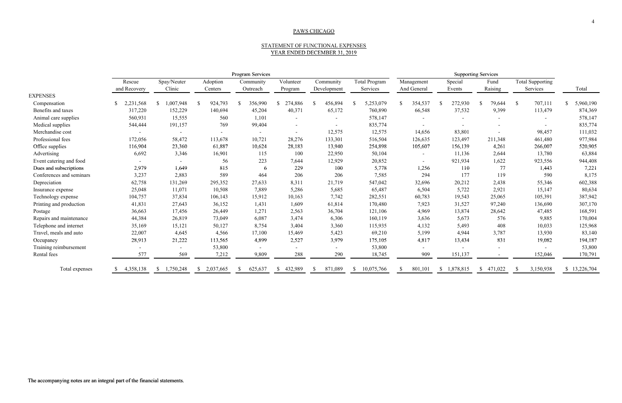## STATEMENT OF FUNCTIONAL EXPENSES YEAR ENDED DECEMBER 31, 2019

#### PAWS CHICAGO

|                          |                                                |                       |                           |                          |                          | YEAR ENDED DECEMBER 31, 2019 |                           |                           |                   |                         |                              |                 |
|--------------------------|------------------------------------------------|-----------------------|---------------------------|--------------------------|--------------------------|------------------------------|---------------------------|---------------------------|-------------------|-------------------------|------------------------------|-----------------|
|                          | Program Services<br><b>Supporting Services</b> |                       |                           |                          |                          |                              |                           |                           |                   |                         |                              |                 |
|                          | Rescue<br>and Recovery                         | Spay/Neuter<br>Clinic | Adoption<br>Centers       | Community<br>Outreach    | Volunteer<br>Program     | Community<br>Development     | Total Program<br>Services | Management<br>And General | Special<br>Events | Fund<br>Raising         | Total Supporting<br>Services | Total           |
| <b>EXPENSES</b>          |                                                |                       |                           |                          |                          |                              |                           |                           |                   |                         |                              |                 |
| Compensation             | 2,231,568<br><sup>\$</sup>                     | 1,007,948             | 924,793<br><sup>\$</sup>  | 356,990<br>-8            | 274,886                  | 456,894                      | 5,253,079                 | 354,537                   | 272,930           | 79,644<br><sup>\$</sup> | 707,111<br>$\mathcal{S}$     | 5,960,190<br>S. |
| Benefits and taxes       | 317,220                                        | 152,229               | 140,694                   | 45,204                   | 40,371                   | 65,172                       | 760,890                   | 66,548                    | 37,532            | 9,399                   | 113,479                      | 874,369         |
| Animal care supplies     | 560,931                                        | 15,555                | 560                       | 1,101                    |                          |                              | 578,147                   |                           |                   |                         |                              | 578,147         |
| Medical supplies         | 544,444                                        | 191,157               | 769                       | 99,404                   |                          |                              | 835,774                   |                           |                   |                         |                              | 835,774         |
| Merchandise cost         |                                                |                       | $\overline{\phantom{a}}$  | $\overline{\phantom{a}}$ | $\overline{\phantom{a}}$ | 12,575                       | 12,575                    | 14,656                    | 83,801            |                         | 98,457                       | 111,032         |
| Professional fees        | 172,056                                        | 58,472                | 113,678                   | 10,721                   | 28,276                   | 133,301                      | 516,504                   | 126,635                   | 123,497           | 211,348                 | 461,480                      | 977,984         |
| Office supplies          | 116,904                                        | 23,360                | 61,887                    | 10,624                   | 28,183                   | 13,940                       | 254,898                   | 105,607                   | 156,139           | 4,261                   | 266,007                      | 520,905         |
| Advertising              | 6,692                                          | 3,346                 | 16,901                    | 115                      | 100                      | 22,950                       | 50,104                    |                           | 11,136            | 2,644                   | 13,780                       | 63,884          |
| Event catering and food  |                                                |                       | 56                        | 223                      | 7,644                    | 12,929                       | 20,852                    |                           | 921,934           | 1,622                   | 923,556                      | 944,408         |
| Dues and subscriptions   | 2,979                                          | 1,649                 | 815                       | 6                        | 229                      | 100                          | 5,778                     | 1,256                     | 110               | 77                      | 1,443                        | 7,221           |
| Conferences and seminars | 3,237                                          | 2,883                 | 589                       | 464                      | 206                      | 206                          | 7,585                     | 294                       | 177               | 119                     | 590                          | 8,175           |
| Depreciation             | 62,758                                         | 131,269               | 295,352                   | 27,633                   | 8,311                    | 21,719                       | 547,042                   | 32,696                    | 20,212            | 2,438                   | 55,346                       | 602,388         |
| Insurance expense        | 25,048                                         | 11,071                | 10,508                    | 7,889                    | 5,286                    | 5,685                        | 65,487                    | 6,504                     | 5,722             | 2,921                   | 15,147                       | 80,634          |
| Technology expense       | 104,757                                        | 37,834                | 106,143                   | 15,912                   | 10,163                   | 7,742                        | 282,551                   | 60,783                    | 19,543            | 25,065                  | 105,391                      | 387,942         |
| Printing and production  | 41,831                                         | 27,643                | 36,152                    | 1,431                    | 1,609                    | 61,814                       | 170,480                   | 7,923                     | 31,527            | 97,240                  | 136,690                      | 307,170         |
| Postage                  | 36,663                                         | 17,456                | 26,449                    | 1,271                    | 2,563                    | 36,704                       | 121,106                   | 4,969                     | 13,874            | 28,642                  | 47,485                       | 168,591         |
| Repairs and maintenance  | 44,384                                         | 26,819                | 73,049                    | 6,087                    | 3,474                    | 6,306                        | 160,119                   | 3,636                     | 5,673             | 576                     | 9,885                        | 170,004         |
| Telephone and internet   | 35,169                                         | 15,121                | 50,127                    | 8,754                    | 3,404                    | 3,360                        | 115,935                   | 4,132                     | 5,493             | 408                     | 10,033                       | 125,968         |
| Travel, meals and auto   | 22,007                                         | 4,645                 | 4,566                     | 17,100                   | 15,469                   | 5,423                        | 69,210                    | 5,199                     | 4,944             | 3,787                   | 13,930                       | 83,140          |
| Occupancy                | 28,913                                         | 21,222                | 113,565                   | 4,899                    | 2,527                    | 3,979                        | 175,105                   | 4,817                     | 13,434            | 831                     | 19,082                       | 194,187         |
| Training reimbursement   | $\overline{\phantom{a}}$                       |                       | 53,800                    |                          |                          |                              | 53,800                    |                           |                   |                         |                              | 53,800          |
| Rental fees              | 577                                            | 569                   | 7,212                     | 9,809                    | 288                      | 290                          | 18,745                    | 909                       | 151,137           |                         | 152,046                      | 170,791         |
| Total expenses           | 4,358,138<br><sup>\$</sup>                     | 1,750,248<br>-S       | 2,037,665<br>$\mathbb{S}$ | 625,637<br>-S            | 432,989<br>-S            | 871,089                      | 10,075,766                | 801,101                   | \$1,878,815       | $\mathbb{S}$<br>471,022 | 3,150,938                    | \$13,226,704    |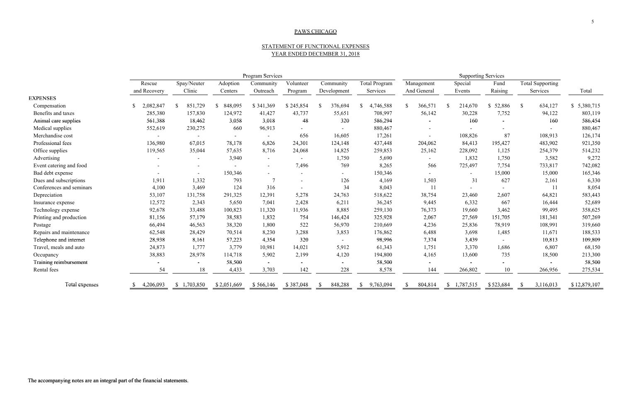## STATEMENT OF FUNCTIONAL EXPENSES YEAR ENDED DECEMBER 31, 2018

|                          | Program Services |               |                         |                 |                |                |                           | <b>Supporting Services</b> |                           |           |                         |              |
|--------------------------|------------------|---------------|-------------------------|-----------------|----------------|----------------|---------------------------|----------------------------|---------------------------|-----------|-------------------------|--------------|
|                          | Rescue           | Spay/Neuter   | Adoption                | Community       | Volunteer      | Community      | Total Program             | Management                 | Special                   | Fund      | <b>Total Supporting</b> |              |
|                          | and Recovery     | Clinic        | Centers                 | Outreach        | Program        | Development    | Services                  | And General                | Events                    | Raising   | Services                | Total        |
| <b>EXPENSES</b>          |                  |               |                         |                 |                |                |                           |                            |                           |           |                         |              |
| Compensation             | 2,082,847        | 851,729<br>-S | 848,095<br><sup>S</sup> | \$341,369       | \$245,854      | 376,694<br>-S  | 4,746,588<br><sup>S</sup> | 366,571<br>$\mathbb{S}$    | 214,670<br>-S             | \$52,886  | 634,127<br>$\mathbb{S}$ | \$5,380,715  |
| Benefits and taxes       | 285,380          | 157,830       | 124,972                 | 41,427          | 43,737         | 55,651         | 708,997                   | 56,142                     | 30,228                    | 7,752     | 94,122                  | 803,119      |
| Animal care supplies     | 561,388          | 18,462        | 3,058                   | 3,018           | 48             | 320            | 586,294                   |                            | 160                       |           | 160                     | 586,454      |
| Medical supplies         | 552,619          | 230,275       | 660                     | 96,913          |                |                | 880,467                   |                            |                           |           |                         | 880,467      |
| Merchandise cost         |                  |               |                         |                 | 656            | 16,605         | 17,261                    |                            | 108,826                   | 87        | 108,913                 | 126,174      |
| Professional fees        | 136,980          | 67,015        | 78,178                  | 6,826           | 24,301         | 124,148        | 437,448                   | 204,062                    | 84,413                    | 195,427   | 483,902                 | 921,350      |
| Office supplies          | 119,565          | 35,044        | 57,635                  | 8,716           | 24,068         | 14,825         | 259,853                   | 25,162                     | 228,092                   | 1,125     | 254,379                 | 514,232      |
| Advertising              |                  |               | 3,940                   | $\sim$          | $\sim$         | 1,750          | 5,690                     | $\sim$                     | 1,832                     | 1,750     | 3,582                   | 9,272        |
| Event catering and food  |                  |               |                         |                 | 7,496          | 769            | 8,265                     | 566                        | 725,497                   | 7,754     | 733,817                 | 742,082      |
| Bad debt expense         |                  | $\sim$        | 150,346                 |                 |                | $\blacksquare$ | 150,346                   | $\sim$                     | $\sim$                    | 15,000    | 15,000                  | 165,346      |
| Dues and subscriptions   | 1,911            | 1,332         | 793                     | $7\phantom{.0}$ | $\blacksquare$ | 126            | 4,169                     | 1,503                      | 31                        | 627       | 2,161                   | 6,330        |
| Conferences and seminars | 4,100            | 3,469         | 124                     | 316             |                | 34             | 8,043                     | 11                         | $\sim$                    |           | 11                      | 8,054        |
| Depreciation             | 53,107           | 131,758       | 291,325                 | 12,391          | 5,278          | 24,763         | 518,622                   | 38,754                     | 23,460                    | 2,607     | 64,821                  | 583,443      |
| Insurance expense        | 12,572           | 2,343         | 5,650                   | 7,041           | 2,428          | 6,211          | 36,245                    | 9,445                      | 6,332                     | 667       | 16,444                  | 52,689       |
| Technology expense       | 92,678           | 33,488        | 100,823                 | 11,320          | 11,936         | 8,885          | 259,130                   | 76,373                     | 19,660                    | 3,462     | 99,495                  | 358,625      |
| Printing and production  | 81,156           | 57,179        | 38,583                  | 1,832           | 754            | 146,424        | 325,928                   | 2,067                      | 27,569                    | 151,705   | 181,341                 | 507,269      |
| Postage                  | 66,494           | 46,563        | 38,320                  | 1,800           | 522            | 56,970         | 210,669                   | 4,236                      | 25,836                    | 78,919    | 108,991                 | 319,660      |
| Repairs and maintenance  | 62,548           | 28,429        | 70,514                  | 8,230           | 3,288          | 3,853          | 176,862                   | 6,488                      | 3,698                     | 1,485     | 11,671                  | 188,533      |
| Telephone and internet   | 28,938           | 8,161         | 57,223                  | 4,354           | 320            | $\sim$         | 98,996                    | 7,374                      | 3,439                     |           | 10,813                  | 109,809      |
| Travel, meals and auto   | 24,873           | 1,777         | 3,779                   | 10,981          | 14,021         | 5,912          | 61,343                    | 1,751                      | 3,370                     | 1,686     | 6,807                   | 68,150       |
| Occupancy                | 38,883           | 28,978        | 114,718                 | 5,902           | 2,199          | 4,120          | 194,800                   | 4,165                      | 13,600                    | 735       | 18,500                  | 213,300      |
| Training reimbursement   |                  |               | 58,500                  |                 | $\blacksquare$ |                | 58,500                    | $\blacksquare$             |                           |           |                         | 58,500       |
| Rental fees              | 54               | 18            | 4,433                   | 3,703           | 142            | 228            | 8,578                     | 144                        | 266,802                   | 10        | 266,956                 | 275,534      |
| Total expenses           | 4,206,093        | \$1,703,850   | \$2,051,669             | \$566,146       | \$387,048      | 848,288        | 9,763,094<br><sup>S</sup> | 804,814<br><sup>\$</sup>   | 1,787,515<br>$\mathbb{S}$ | \$523,684 | 3,116,013               | \$12,879,107 |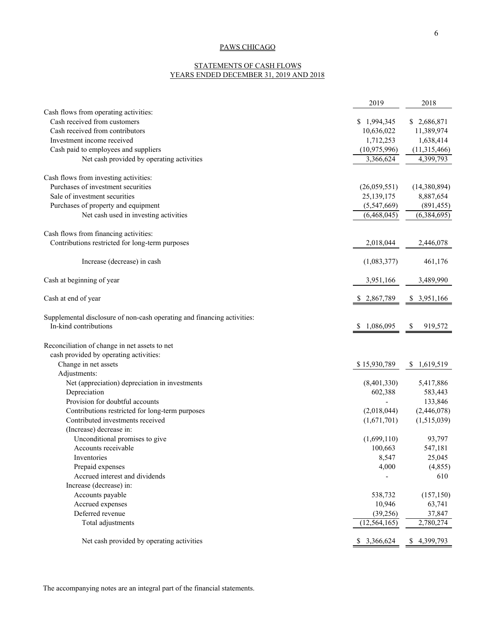### STATEMENTS OF CASH FLOWS YEARS ENDED DECEMBER 31, 2019 AND 2018

|                                                                         | 2019            | 2018                     |
|-------------------------------------------------------------------------|-----------------|--------------------------|
| Cash flows from operating activities:                                   |                 |                          |
| Cash received from customers                                            | \$1,994,345     | \$2,686,871              |
| Cash received from contributors                                         | 10,636,022      | 11,389,974               |
| Investment income received                                              | 1,712,253       | 1,638,414                |
| Cash paid to employees and suppliers                                    | (10, 975, 996)  | (11,315,466)             |
| Net cash provided by operating activities                               | 3,366,624       | 4,399,793                |
| Cash flows from investing activities:                                   |                 |                          |
| Purchases of investment securities                                      | (26,059,551)    | (14,380,894)             |
| Sale of investment securities                                           | 25,139,175      | 8,887,654                |
| Purchases of property and equipment                                     | (5,547,669)     | (891, 455)               |
| Net cash used in investing activities                                   | (6,468,045)     | $\overline{(6,384,695)}$ |
| Cash flows from financing activities:                                   |                 |                          |
| Contributions restricted for long-term purposes                         | 2,018,044       | 2,446,078                |
|                                                                         |                 |                          |
| Increase (decrease) in cash                                             | (1,083,377)     | 461,176                  |
| Cash at beginning of year                                               | 3,951,166       | 3,489,990                |
| Cash at end of year                                                     | \$2,867,789     | \$3,951,166              |
| Supplemental disclosure of non-cash operating and financing activities: |                 |                          |
| In-kind contributions                                                   | 1,086,095       | 919,572<br>S.            |
| Reconciliation of change in net assets to net                           |                 |                          |
| cash provided by operating activities:                                  |                 |                          |
| Change in net assets                                                    | \$15,930,789    | 1,619,519<br>\$          |
| Adjustments:                                                            |                 |                          |
| Net (appreciation) depreciation in investments                          | (8,401,330)     | 5,417,886                |
| Depreciation                                                            | 602,388         | 583,443                  |
| Provision for doubtful accounts                                         |                 | 133,846                  |
| Contributions restricted for long-term purposes                         | (2,018,044)     | (2,446,078)              |
| Contributed investments received                                        | (1,671,701)     | (1,515,039)              |
| (Increase) decrease in:                                                 |                 |                          |
| Unconditional promises to give                                          | (1,699,110)     | 93,797                   |
| Accounts receivable                                                     | 100,663         | 547,181                  |
| Inventories                                                             | 8,547           | 25,045                   |
| Prepaid expenses                                                        | 4,000           | (4, 855)                 |
| Accrued interest and dividends                                          |                 | 610                      |
| Increase (decrease) in:                                                 |                 |                          |
| Accounts payable                                                        | 538,732         | (157, 150)               |
| Accrued expenses                                                        | 10,946          | 63,741                   |
| Deferred revenue                                                        | (39, 256)       | 37,847                   |
| Total adjustments                                                       | (12, 564, 165)  | 2,780,274                |
| Net cash provided by operating activities                               | 3,366,624<br>\$ | 4,399,793<br>\$          |
|                                                                         |                 |                          |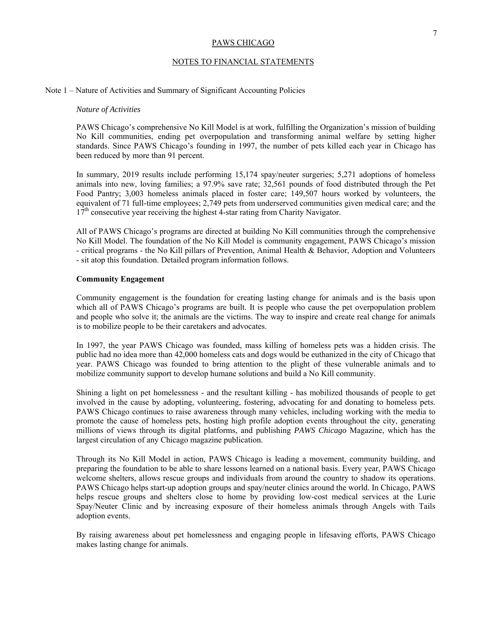## NOTES TO FINANCIAL STATEMENTS

## Note 1 – Nature of Activities and Summary of Significant Accounting Policies

### *Nature of Activities*

PAWS Chicago's comprehensive No Kill Model is at work, fulfilling the Organization's mission of building No Kill communities, ending pet overpopulation and transforming animal welfare by setting higher standards. Since PAWS Chicago's founding in 1997, the number of pets killed each year in Chicago has been reduced by more than 91 percent.

In summary, 2019 results include performing 15,174 spay/neuter surgeries; 5,271 adoptions of homeless animals into new, loving families; a 97.9% save rate; 32,561 pounds of food distributed through the Pet Food Pantry; 3,003 homeless animals placed in foster care; 149,507 hours worked by volunteers, the equivalent of 71 full-time employees; 2,749 pets from underserved communities given medical care; and the  $17<sup>th</sup>$  consecutive year receiving the highest 4-star rating from Charity Navigator.

All of PAWS Chicago's programs are directed at building No Kill communities through the comprehensive No Kill Model. The foundation of the No Kill Model is community engagement, PAWS Chicago's mission - critical programs - the No Kill pillars of Prevention, Animal Health & Behavior, Adoption and Volunteers - sit atop this foundation. Detailed program information follows.

### **Community Engagement**

Community engagement is the foundation for creating lasting change for animals and is the basis upon which all of PAWS Chicago's programs are built. It is people who cause the pet overpopulation problem and people who solve it; the animals are the victims. The way to inspire and create real change for animals is to mobilize people to be their caretakers and advocates.

In 1997, the year PAWS Chicago was founded, mass killing of homeless pets was a hidden crisis. The public had no idea more than 42,000 homeless cats and dogs would be euthanized in the city of Chicago that year. PAWS Chicago was founded to bring attention to the plight of these vulnerable animals and to mobilize community support to develop humane solutions and build a No Kill community.

Shining a light on pet homelessness - and the resultant killing - has mobilized thousands of people to get involved in the cause by adopting, volunteering, fostering, advocating for and donating to homeless pets. PAWS Chicago continues to raise awareness through many vehicles, including working with the media to promote the cause of homeless pets, hosting high profile adoption events throughout the city, generating millions of views through its digital platforms, and publishing *PAWS Chicago* Magazine, which has the largest circulation of any Chicago magazine publication.

Through its No Kill Model in action, PAWS Chicago is leading a movement, community building, and preparing the foundation to be able to share lessons learned on a national basis. Every year, PAWS Chicago welcome shelters, allows rescue groups and individuals from around the country to shadow its operations. PAWS Chicago helps start-up adoption groups and spay/neuter clinics around the world. In Chicago, PAWS helps rescue groups and shelters close to home by providing low-cost medical services at the Lurie Spay/Neuter Clinic and by increasing exposure of their homeless animals through Angels with Tails adoption events.

By raising awareness about pet homelessness and engaging people in lifesaving efforts, PAWS Chicago makes lasting change for animals.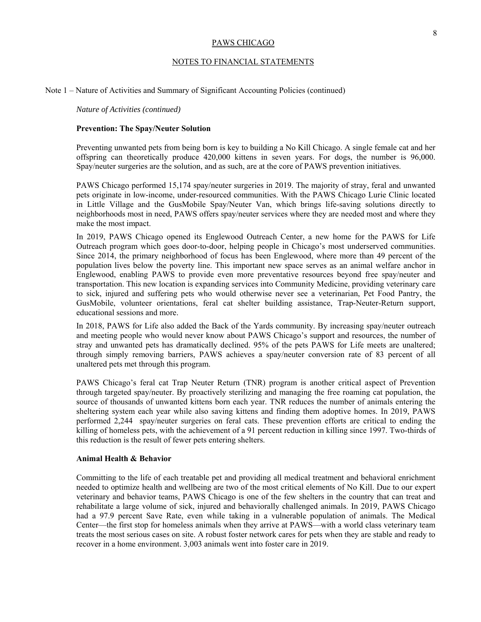## NOTES TO FINANCIAL STATEMENTS

### Note 1 – Nature of Activities and Summary of Significant Accounting Policies (continued)

*Nature of Activities (continued)* 

### **Prevention: The Spay/Neuter Solution**

Preventing unwanted pets from being born is key to building a No Kill Chicago. A single female cat and her offspring can theoretically produce 420,000 kittens in seven years. For dogs, the number is 96,000. Spay/neuter surgeries are the solution, and as such, are at the core of PAWS prevention initiatives.

PAWS Chicago performed 15,174 spay/neuter surgeries in 2019. The majority of stray, feral and unwanted pets originate in low-income, under-resourced communities. With the PAWS Chicago Lurie Clinic located in Little Village and the GusMobile Spay/Neuter Van, which brings life-saving solutions directly to neighborhoods most in need, PAWS offers spay/neuter services where they are needed most and where they make the most impact.

In 2019, PAWS Chicago opened its Englewood Outreach Center, a new home for the PAWS for Life Outreach program which goes door-to-door, helping people in Chicago's most underserved communities. Since 2014, the primary neighborhood of focus has been Englewood, where more than 49 percent of the population lives below the poverty line. This important new space serves as an animal welfare anchor in Englewood, enabling PAWS to provide even more preventative resources beyond free spay/neuter and transportation. This new location is expanding services into Community Medicine, providing veterinary care to sick, injured and suffering pets who would otherwise never see a veterinarian, Pet Food Pantry, the GusMobile, volunteer orientations, feral cat shelter building assistance, Trap-Neuter-Return support, educational sessions and more.

In 2018, PAWS for Life also added the Back of the Yards community. By increasing spay/neuter outreach and meeting people who would never know about PAWS Chicago's support and resources, the number of stray and unwanted pets has dramatically declined. 95% of the pets PAWS for Life meets are unaltered; through simply removing barriers, PAWS achieves a spay/neuter conversion rate of 83 percent of all unaltered pets met through this program.

PAWS Chicago's feral cat Trap Neuter Return (TNR) program is another critical aspect of Prevention through targeted spay/neuter. By proactively sterilizing and managing the free roaming cat population, the source of thousands of unwanted kittens born each year. TNR reduces the number of animals entering the sheltering system each year while also saving kittens and finding them adoptive homes. In 2019, PAWS performed 2,244 spay/neuter surgeries on feral cats. These prevention efforts are critical to ending the killing of homeless pets, with the achievement of a 91 percent reduction in killing since 1997. Two-thirds of this reduction is the result of fewer pets entering shelters.

### **Animal Health & Behavior**

Committing to the life of each treatable pet and providing all medical treatment and behavioral enrichment needed to optimize health and wellbeing are two of the most critical elements of No Kill. Due to our expert veterinary and behavior teams, PAWS Chicago is one of the few shelters in the country that can treat and rehabilitate a large volume of sick, injured and behaviorally challenged animals. In 2019, PAWS Chicago had a 97.9 percent Save Rate, even while taking in a vulnerable population of animals. The Medical Center—the first stop for homeless animals when they arrive at PAWS—with a world class veterinary team treats the most serious cases on site. A robust foster network cares for pets when they are stable and ready to recover in a home environment. 3,003 animals went into foster care in 2019.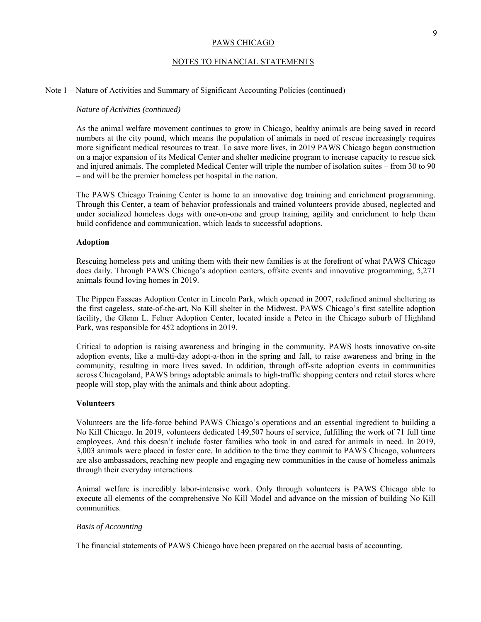## NOTES TO FINANCIAL STATEMENTS

### Note 1 – Nature of Activities and Summary of Significant Accounting Policies (continued)

#### *Nature of Activities (continued)*

As the animal welfare movement continues to grow in Chicago, healthy animals are being saved in record numbers at the city pound, which means the population of animals in need of rescue increasingly requires more significant medical resources to treat. To save more lives, in 2019 PAWS Chicago began construction on a major expansion of its Medical Center and shelter medicine program to increase capacity to rescue sick and injured animals. The completed Medical Center will triple the number of isolation suites – from 30 to 90 – and will be the premier homeless pet hospital in the nation.

The PAWS Chicago Training Center is home to an innovative dog training and enrichment programming. Through this Center, a team of behavior professionals and trained volunteers provide abused, neglected and under socialized homeless dogs with one-on-one and group training, agility and enrichment to help them build confidence and communication, which leads to successful adoptions.

#### **Adoption**

Rescuing homeless pets and uniting them with their new families is at the forefront of what PAWS Chicago does daily. Through PAWS Chicago's adoption centers, offsite events and innovative programming, 5,271 animals found loving homes in 2019.

The Pippen Fasseas Adoption Center in Lincoln Park, which opened in 2007, redefined animal sheltering as the first cageless, state-of-the-art, No Kill shelter in the Midwest. PAWS Chicago's first satellite adoption facility, the Glenn L. Felner Adoption Center, located inside a Petco in the Chicago suburb of Highland Park, was responsible for 452 adoptions in 2019.

Critical to adoption is raising awareness and bringing in the community. PAWS hosts innovative on-site adoption events, like a multi-day adopt-a-thon in the spring and fall, to raise awareness and bring in the community, resulting in more lives saved. In addition, through off-site adoption events in communities across Chicagoland, PAWS brings adoptable animals to high-traffic shopping centers and retail stores where people will stop, play with the animals and think about adopting.

### **Volunteers**

Volunteers are the life-force behind PAWS Chicago's operations and an essential ingredient to building a No Kill Chicago. In 2019, volunteers dedicated 149,507 hours of service, fulfilling the work of 71 full time employees. And this doesn't include foster families who took in and cared for animals in need. In 2019, 3,003 animals were placed in foster care. In addition to the time they commit to PAWS Chicago, volunteers are also ambassadors, reaching new people and engaging new communities in the cause of homeless animals through their everyday interactions.

Animal welfare is incredibly labor-intensive work. Only through volunteers is PAWS Chicago able to execute all elements of the comprehensive No Kill Model and advance on the mission of building No Kill communities.

## *Basis of Accounting*

The financial statements of PAWS Chicago have been prepared on the accrual basis of accounting.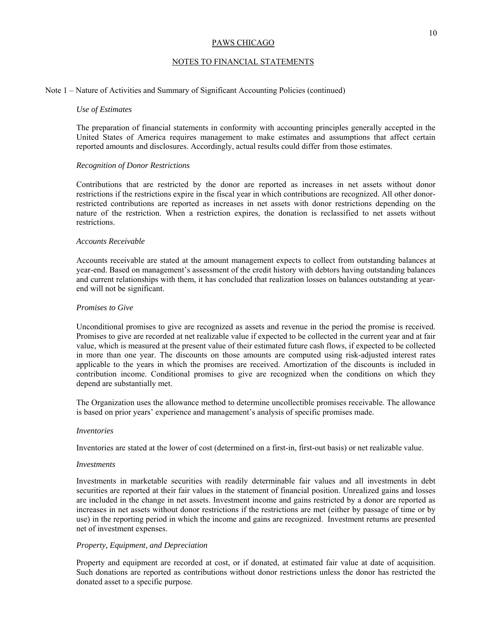## NOTES TO FINANCIAL STATEMENTS

## Note 1 – Nature of Activities and Summary of Significant Accounting Policies (continued)

### *Use of Estimates*

The preparation of financial statements in conformity with accounting principles generally accepted in the United States of America requires management to make estimates and assumptions that affect certain reported amounts and disclosures. Accordingly, actual results could differ from those estimates.

#### *Recognition of Donor Restrictions*

Contributions that are restricted by the donor are reported as increases in net assets without donor restrictions if the restrictions expire in the fiscal year in which contributions are recognized. All other donorrestricted contributions are reported as increases in net assets with donor restrictions depending on the nature of the restriction. When a restriction expires, the donation is reclassified to net assets without restrictions.

### *Accounts Receivable*

Accounts receivable are stated at the amount management expects to collect from outstanding balances at year-end. Based on management's assessment of the credit history with debtors having outstanding balances and current relationships with them, it has concluded that realization losses on balances outstanding at yearend will not be significant.

### *Promises to Give*

Unconditional promises to give are recognized as assets and revenue in the period the promise is received. Promises to give are recorded at net realizable value if expected to be collected in the current year and at fair value, which is measured at the present value of their estimated future cash flows, if expected to be collected in more than one year. The discounts on those amounts are computed using risk-adjusted interest rates applicable to the years in which the promises are received. Amortization of the discounts is included in contribution income. Conditional promises to give are recognized when the conditions on which they depend are substantially met.

The Organization uses the allowance method to determine uncollectible promises receivable. The allowance is based on prior years' experience and management's analysis of specific promises made.

#### *Inventories*

Inventories are stated at the lower of cost (determined on a first-in, first-out basis) or net realizable value.

#### *Investments*

Investments in marketable securities with readily determinable fair values and all investments in debt securities are reported at their fair values in the statement of financial position. Unrealized gains and losses are included in the change in net assets. Investment income and gains restricted by a donor are reported as increases in net assets without donor restrictions if the restrictions are met (either by passage of time or by use) in the reporting period in which the income and gains are recognized. Investment returns are presented net of investment expenses.

## *Property, Equipment, and Depreciation*

Property and equipment are recorded at cost, or if donated, at estimated fair value at date of acquisition. Such donations are reported as contributions without donor restrictions unless the donor has restricted the donated asset to a specific purpose.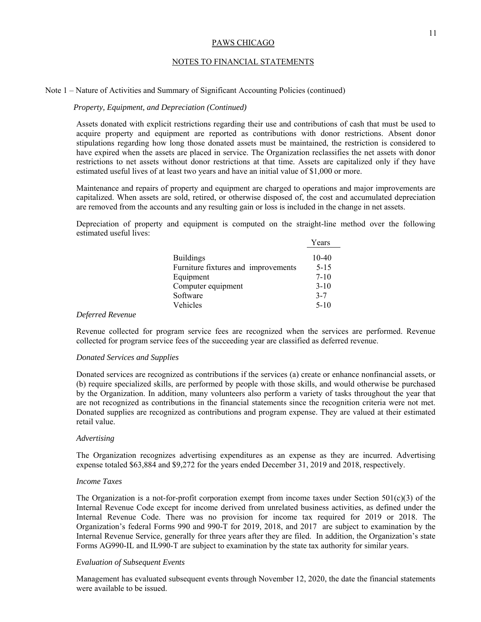## NOTES TO FINANCIAL STATEMENTS

### Note 1 – Nature of Activities and Summary of Significant Accounting Policies (continued)

### *Property, Equipment, and Depreciation (Continued)*

Assets donated with explicit restrictions regarding their use and contributions of cash that must be used to acquire property and equipment are reported as contributions with donor restrictions. Absent donor stipulations regarding how long those donated assets must be maintained, the restriction is considered to have expired when the assets are placed in service. The Organization reclassifies the net assets with donor restrictions to net assets without donor restrictions at that time. Assets are capitalized only if they have estimated useful lives of at least two years and have an initial value of \$1,000 or more.

Maintenance and repairs of property and equipment are charged to operations and major improvements are capitalized. When assets are sold, retired, or otherwise disposed of, the cost and accumulated depreciation are removed from the accounts and any resulting gain or loss is included in the change in net assets.

Depreciation of property and equipment is computed on the straight-line method over the following estimated useful lives:

|                                                         | Years               |
|---------------------------------------------------------|---------------------|
| <b>Buildings</b><br>Furniture fixtures and improvements | $10-40$<br>$5 - 15$ |
| Equipment                                               | $7 - 10$            |
| Computer equipment                                      | $3 - 10$            |
| Software                                                | $3 - 7$             |
| Vehicles                                                | $5-10$              |

### *Deferred Revenue*

Revenue collected for program service fees are recognized when the services are performed. Revenue collected for program service fees of the succeeding year are classified as deferred revenue.

### *Donated Services and Supplies*

Donated services are recognized as contributions if the services (a) create or enhance nonfinancial assets, or (b) require specialized skills, are performed by people with those skills, and would otherwise be purchased by the Organization. In addition, many volunteers also perform a variety of tasks throughout the year that are not recognized as contributions in the financial statements since the recognition criteria were not met. Donated supplies are recognized as contributions and program expense. They are valued at their estimated retail value.

#### *Advertising*

The Organization recognizes advertising expenditures as an expense as they are incurred. Advertising expense totaled \$63,884 and \$9,272 for the years ended December 31, 2019 and 2018, respectively.

## *Income Taxes*

The Organization is a not-for-profit corporation exempt from income taxes under Section  $501(c)(3)$  of the Internal Revenue Code except for income derived from unrelated business activities, as defined under the Internal Revenue Code. There was no provision for income tax required for 2019 or 2018. The Organization's federal Forms 990 and 990-T for 2019, 2018, and 2017 are subject to examination by the Internal Revenue Service, generally for three years after they are filed. In addition, the Organization's state Forms AG990-IL and IL990-T are subject to examination by the state tax authority for similar years.

### *Evaluation of Subsequent Events*

Management has evaluated subsequent events through November 12, 2020, the date the financial statements were available to be issued.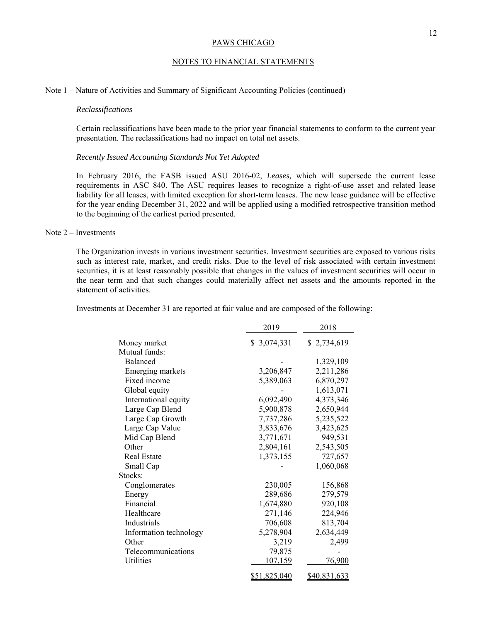## NOTES TO FINANCIAL STATEMENTS

## Note 1 – Nature of Activities and Summary of Significant Accounting Policies (continued)

### *Reclassifications*

Certain reclassifications have been made to the prior year financial statements to conform to the current year presentation. The reclassifications had no impact on total net assets.

## *Recently Issued Accounting Standards Not Yet Adopted*

In February 2016, the FASB issued ASU 2016-02, *Leases,* which will supersede the current lease requirements in ASC 840. The ASU requires leases to recognize a right-of-use asset and related lease liability for all leases, with limited exception for short-term leases. The new lease guidance will be effective for the year ending December 31, 2022 and will be applied using a modified retrospective transition method to the beginning of the earliest period presented.

## Note 2 – Investments

The Organization invests in various investment securities. Investment securities are exposed to various risks such as interest rate, market, and credit risks. Due to the level of risk associated with certain investment securities, it is at least reasonably possible that changes in the values of investment securities will occur in the near term and that such changes could materially affect net assets and the amounts reported in the statement of activities.

Investments at December 31 are reported at fair value and are composed of the following:

|                        | 2019           | 2018         |
|------------------------|----------------|--------------|
| Money market           | \$3,074,331    | \$2,734,619  |
| Mutual funds:          |                |              |
| Balanced               |                | 1,329,109    |
| Emerging markets       | 3,206,847      | 2,211,286    |
| Fixed income           | 5,389,063      | 6,870,297    |
| Global equity          |                | 1,613,071    |
| International equity   | 6,092,490      | 4,373,346    |
| Large Cap Blend        | 5,900,878      | 2,650,944    |
| Large Cap Growth       | 7,737,286      | 5,235,522    |
| Large Cap Value        | 3,833,676      | 3,423,625    |
| Mid Cap Blend          | 3,771,671      | 949,531      |
| Other                  | 2,804,161      | 2,543,505    |
| <b>Real Estate</b>     | 1,373,155      | 727,657      |
| Small Cap              |                | 1,060,068    |
| Stocks:                |                |              |
| Conglomerates          | 230,005        | 156,868      |
| Energy                 | 289,686        | 279,579      |
| Financial              | 1,674,880      | 920,108      |
| Healthcare             | 271,146        | 224,946      |
| Industrials            | 706,608        | 813,704      |
| Information technology | 5,278,904      | 2,634,449    |
| Other                  | 3,219          | 2,499        |
| Telecommunications     | 79,875         |              |
| Utilities              | <u>107,159</u> | 76,900       |
|                        | \$51,825,040   | \$40,831,633 |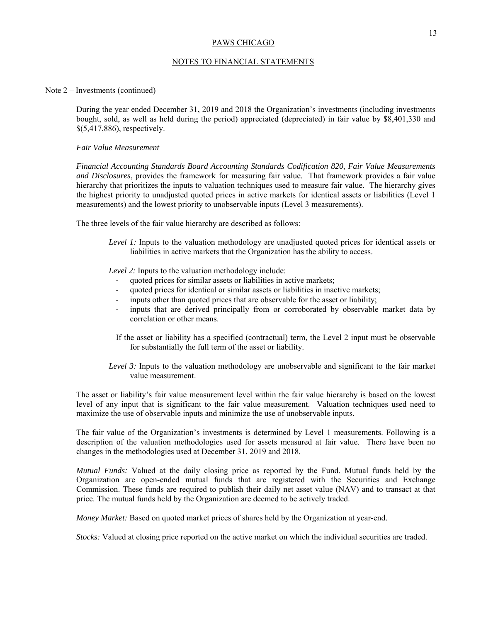## NOTES TO FINANCIAL STATEMENTS

### Note 2 – Investments (continued)

During the year ended December 31, 2019 and 2018 the Organization's investments (including investments bought, sold, as well as held during the period) appreciated (depreciated) in fair value by \$8,401,330 and \$(5,417,886), respectively.

## *Fair Value Measurement*

*Financial Accounting Standards Board Accounting Standards Codification 820*, *Fair Value Measurements and Disclosures*, provides the framework for measuring fair value. That framework provides a fair value hierarchy that prioritizes the inputs to valuation techniques used to measure fair value. The hierarchy gives the highest priority to unadjusted quoted prices in active markets for identical assets or liabilities (Level 1 measurements) and the lowest priority to unobservable inputs (Level 3 measurements).

The three levels of the fair value hierarchy are described as follows:

*Level 1:* Inputs to the valuation methodology are unadjusted quoted prices for identical assets or liabilities in active markets that the Organization has the ability to access.

*Level 2:* Inputs to the valuation methodology include:

- quoted prices for similar assets or liabilities in active markets;
- ‐ quoted prices for identical or similar assets or liabilities in inactive markets;
- inputs other than quoted prices that are observable for the asset or liability;
- ‐ inputs that are derived principally from or corroborated by observable market data by correlation or other means.
- If the asset or liability has a specified (contractual) term, the Level 2 input must be observable for substantially the full term of the asset or liability.
- *Level 3:* Inputs to the valuation methodology are unobservable and significant to the fair market value measurement.

The asset or liability's fair value measurement level within the fair value hierarchy is based on the lowest level of any input that is significant to the fair value measurement. Valuation techniques used need to maximize the use of observable inputs and minimize the use of unobservable inputs.

The fair value of the Organization's investments is determined by Level 1 measurements. Following is a description of the valuation methodologies used for assets measured at fair value. There have been no changes in the methodologies used at December 31, 2019 and 2018.

*Mutual Funds:* Valued at the daily closing price as reported by the Fund. Mutual funds held by the Organization are open-ended mutual funds that are registered with the Securities and Exchange Commission. These funds are required to publish their daily net asset value (NAV) and to transact at that price. The mutual funds held by the Organization are deemed to be actively traded.

*Money Market:* Based on quoted market prices of shares held by the Organization at year-end.

*Stocks:* Valued at closing price reported on the active market on which the individual securities are traded.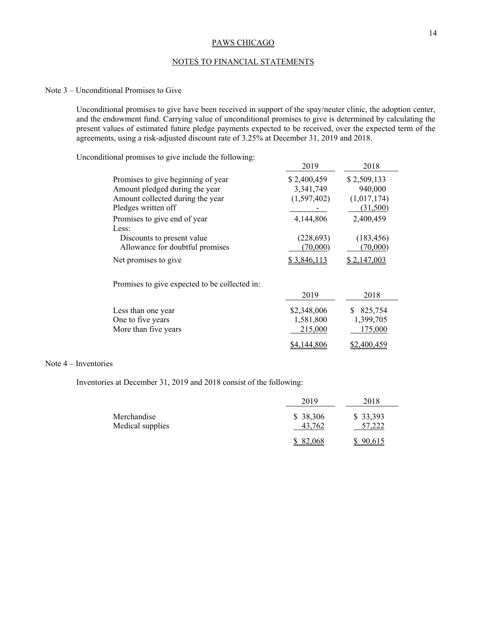## NOTES TO FINANCIAL STATEMENTS

## Note 3 – Unconditional Promises to Give

Unconditional promises to give have been received in support of the spay/neuter clinic, the adoption center, and the endowment fund. Carrying value of unconditional promises to give is determined by calculating the present values of estimated future pledge payments expected to be received, over the expected term of the agreements, using a risk-adjusted discount rate of 3.25% at December 31, 2019 and 2018.

Unconditional promises to give include the following:

|                                               | 2019        | 2018        |
|-----------------------------------------------|-------------|-------------|
| Promises to give beginning of year            | \$2,400,459 | \$2,509,133 |
| Amount pledged during the year                | 3,341,749   | 940,000     |
| Amount collected during the year              | (1,597,402) | (1,017,174) |
| Pledges written off                           |             | (31,500)    |
| Promises to give end of year                  | 4,144,806   | 2,400,459   |
| Less:                                         |             |             |
| Discounts to present value                    | (228, 693)  | (183, 456)  |
| Allowance for doubtful promises               | (70,000)    | (70,000)    |
| Net promises to give                          | \$3,846,113 | \$2,147,003 |
| Promises to give expected to be collected in: |             |             |
|                                               | 2019        | 2018        |
| Less than one year                            | \$2,348,006 | 825,754     |
| One to five years                             | 1,581,800   | 1,399,705   |
| More than five years                          | 215,000     | 175,000     |
|                                               | \$4,144,806 | \$2,400,459 |

## Note 4 – Inventories

Inventories at December 31, 2019 and 2018 consist of the following:

|                                 | 2019                | 2018               |
|---------------------------------|---------------------|--------------------|
| Merchandise<br>Medical supplies | \$ 38,306<br>43.762 | \$33,393<br>57,222 |
|                                 | 82,068              | 90,615             |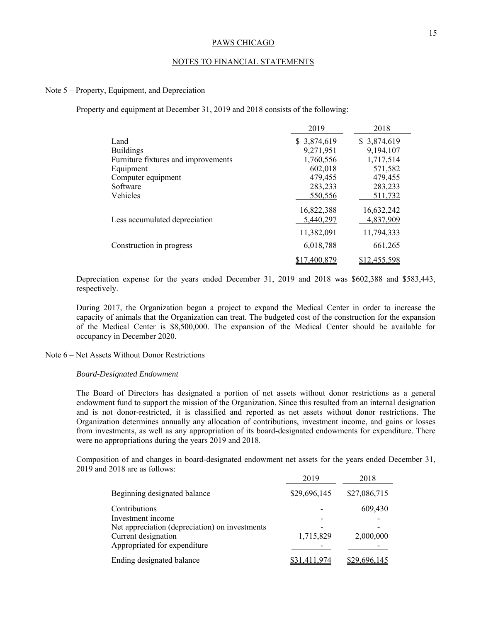## NOTES TO FINANCIAL STATEMENTS

## Note 5 – Property, Equipment, and Depreciation

Property and equipment at December 31, 2019 and 2018 consists of the following:

|                                     | 2019         | 2018         |
|-------------------------------------|--------------|--------------|
| Land                                | \$3,874,619  | \$3,874,619  |
| <b>Buildings</b>                    | 9,271,951    | 9,194,107    |
| Furniture fixtures and improvements | 1,760,556    | 1,717,514    |
| Equipment                           | 602,018      | 571,582      |
| Computer equipment                  | 479,455      | 479,455      |
| Software                            | 283,233      | 283,233      |
| Vehicles                            | 550,556      | 511,732      |
|                                     | 16,822,388   | 16,632,242   |
| Less accumulated depreciation       | 5,440,297    | 4,837,909    |
|                                     | 11,382,091   | 11,794,333   |
| Construction in progress            | 6,018,788    | 661,265      |
|                                     | \$17,400,879 | \$12,455,598 |

Depreciation expense for the years ended December 31, 2019 and 2018 was \$602,388 and \$583,443, respectively.

During 2017, the Organization began a project to expand the Medical Center in order to increase the capacity of animals that the Organization can treat. The budgeted cost of the construction for the expansion of the Medical Center is \$8,500,000. The expansion of the Medical Center should be available for occupancy in December 2020.

## Note 6 – Net Assets Without Donor Restrictions

#### *Board-Designated Endowment*

The Board of Directors has designated a portion of net assets without donor restrictions as a general endowment fund to support the mission of the Organization. Since this resulted from an internal designation and is not donor-restricted, it is classified and reported as net assets without donor restrictions. The Organization determines annually any allocation of contributions, investment income, and gains or losses from investments, as well as any appropriation of its board-designated endowments for expenditure. There were no appropriations during the years 2019 and 2018.

Composition of and changes in board-designated endowment net assets for the years ended December 31, 2019 and 2018 are as follows:

|                                                | 2019         | 2018         |
|------------------------------------------------|--------------|--------------|
| Beginning designated balance                   | \$29,696,145 | \$27,086,715 |
| Contributions                                  |              | 609,430      |
| Investment income                              |              |              |
| Net appreciation (depreciation) on investments |              |              |
| Current designation                            | 1,715,829    | 2,000,000    |
| Appropriated for expenditure                   |              |              |
| Ending designated balance                      | 31,411,974   | \$29,696,145 |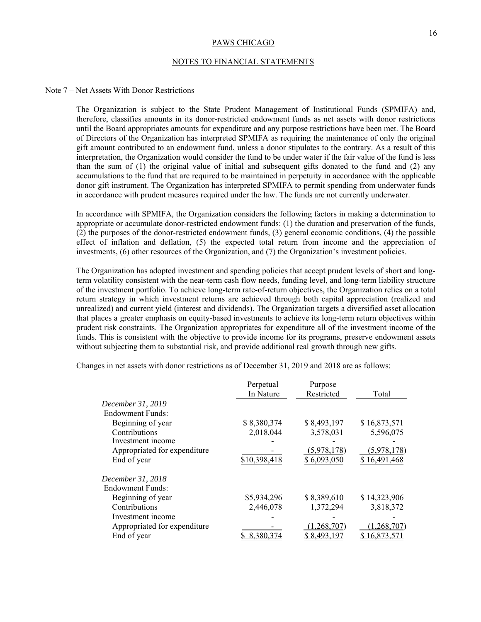### NOTES TO FINANCIAL STATEMENTS

## Note 7 – Net Assets With Donor Restrictions

The Organization is subject to the State Prudent Management of Institutional Funds (SPMIFA) and, therefore, classifies amounts in its donor-restricted endowment funds as net assets with donor restrictions until the Board appropriates amounts for expenditure and any purpose restrictions have been met. The Board of Directors of the Organization has interpreted SPMIFA as requiring the maintenance of only the original gift amount contributed to an endowment fund, unless a donor stipulates to the contrary. As a result of this interpretation, the Organization would consider the fund to be under water if the fair value of the fund is less than the sum of (1) the original value of initial and subsequent gifts donated to the fund and (2) any accumulations to the fund that are required to be maintained in perpetuity in accordance with the applicable donor gift instrument. The Organization has interpreted SPMIFA to permit spending from underwater funds in accordance with prudent measures required under the law. The funds are not currently underwater.

In accordance with SPMIFA, the Organization considers the following factors in making a determination to appropriate or accumulate donor-restricted endowment funds: (1) the duration and preservation of the funds, (2) the purposes of the donor-restricted endowment funds, (3) general economic conditions, (4) the possible effect of inflation and deflation, (5) the expected total return from income and the appreciation of investments, (6) other resources of the Organization, and (7) the Organization's investment policies.

The Organization has adopted investment and spending policies that accept prudent levels of short and longterm volatility consistent with the near-term cash flow needs, funding level, and long-term liability structure of the investment portfolio. To achieve long-term rate-of-return objectives, the Organization relies on a total return strategy in which investment returns are achieved through both capital appreciation (realized and unrealized) and current yield (interest and dividends). The Organization targets a diversified asset allocation that places a greater emphasis on equity-based investments to achieve its long-term return objectives within prudent risk constraints. The Organization appropriates for expenditure all of the investment income of the funds. This is consistent with the objective to provide income for its programs, preserve endowment assets without subjecting them to substantial risk, and provide additional real growth through new gifts.

Changes in net assets with donor restrictions as of December 31, 2019 and 2018 are as follows:

|                              | Perpetual    | Purpose     |              |
|------------------------------|--------------|-------------|--------------|
|                              | In Nature    | Restricted  | Total        |
| December 31, 2019            |              |             |              |
| Endowment Funds:             |              |             |              |
| Beginning of year            | \$8,380,374  | \$8,493,197 | \$16,873,571 |
| Contributions                | 2,018,044    | 3,578,031   | 5,596,075    |
| Investment income            |              |             |              |
| Appropriated for expenditure |              | (5,978,178) | (5,978,178)  |
| End of year                  | \$10,398,418 | \$6,093,050 | \$16,491,468 |
| December 31, 2018            |              |             |              |
| Endowment Funds:             |              |             |              |
| Beginning of year            | \$5,934,296  | \$8,389,610 | \$14,323,906 |
| Contributions                | 2,446,078    | 1,372,294   | 3,818,372    |
| Investment income            |              |             |              |
| Appropriated for expenditure |              | 1.268.707   | 1,268,707)   |
| End of year                  | 8,380,374    | \$ 8.493.   | 6.873.5      |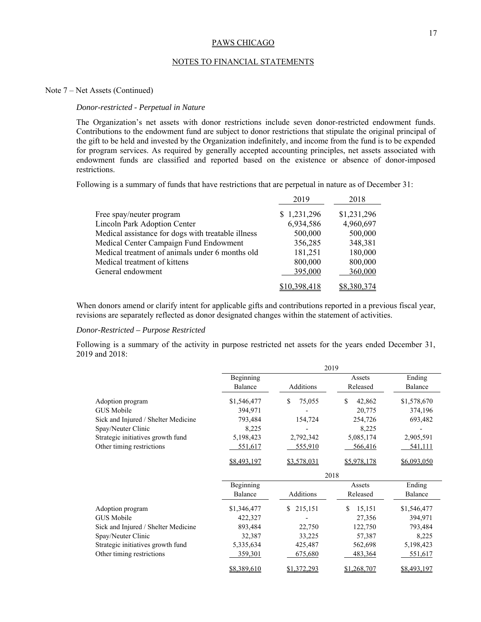## NOTES TO FINANCIAL STATEMENTS

## Note 7 – Net Assets (Continued)

### *Donor-restricted - Perpetual in Nature*

The Organization's net assets with donor restrictions include seven donor-restricted endowment funds. Contributions to the endowment fund are subject to donor restrictions that stipulate the original principal of the gift to be held and invested by the Organization indefinitely, and income from the fund is to be expended for program services. As required by generally accepted accounting principles, net assets associated with endowment funds are classified and reported based on the existence or absence of donor-imposed restrictions.

Following is a summary of funds that have restrictions that are perpetual in nature as of December 31:

|                                                    | 2019         | 2018        |
|----------------------------------------------------|--------------|-------------|
| Free spay/neuter program                           | \$1,231,296  | \$1,231,296 |
| Lincoln Park Adoption Center                       | 6,934,586    | 4,960,697   |
| Medical assistance for dogs with treatable illness | 500,000      | 500,000     |
| Medical Center Campaign Fund Endowment             | 356,285      | 348,381     |
| Medical treatment of animals under 6 months old    | 181,251      | 180,000     |
| Medical treatment of kittens                       | 800,000      | 800,000     |
| General endowment                                  | 395,000      | 360,000     |
|                                                    | \$10,398,418 | \$8,380,374 |

When donors amend or clarify intent for applicable gifts and contributions reported in a previous fiscal year, revisions are separately reflected as donor designated changes within the statement of activities.

## *Donor-Restricted – Purpose Restricted*

Following is a summary of the activity in purpose restricted net assets for the years ended December 31, 2019 and 2018:

|                                     | 2019                 |               |                    |                   |  |
|-------------------------------------|----------------------|---------------|--------------------|-------------------|--|
|                                     | Beginning<br>Balance | Additions     | Assets<br>Released | Ending<br>Balance |  |
| Adoption program                    | \$1,546,477          | \$<br>75,055  | \$<br>42,862       | \$1,578,670       |  |
| GUS Mobile                          | 394,971              |               | 20,775             | 374,196           |  |
| Sick and Injured / Shelter Medicine | 793,484              | 154,724       | 254,726            | 693,482           |  |
| Spay/Neuter Clinic                  | 8,225                |               | 8,225              |                   |  |
| Strategic initiatives growth fund   | 5,198,423            | 2,792,342     | 5,085,174          | 2,905,591         |  |
| Other timing restrictions           | <u>551,617</u>       | 555,910       | 566,416            | 541,111           |  |
|                                     | \$8,493,197          | \$3,578,031   | \$5,978,178        | \$6,093,050       |  |
|                                     |                      | 2018          |                    |                   |  |
|                                     | Beginning            |               | Assets             | Ending            |  |
|                                     | Balance              | Additions     | Released           | Balance           |  |
| Adoption program                    | \$1,346,477          | 215,151<br>\$ | 15,151<br>S.       | \$1,546,477       |  |
| GUS Mobile                          | 422,327              |               | 27,356             | 394,971           |  |
| Sick and Injured / Shelter Medicine | 893,484              | 22,750        | 122,750            | 793,484           |  |
| Spay/Neuter Clinic                  | 32,387               | 33,225        | 57,387             | 8,225             |  |
| Strategic initiatives growth fund   | 5,335,634            | 425,487       | 562,698            | 5,198,423         |  |
| Other timing restrictions           | 359,301              | 675,680       | 483,364            | 551,617           |  |
|                                     | \$8,389,610          | \$1,372,293   | \$1,268,707        | \$8,493,197       |  |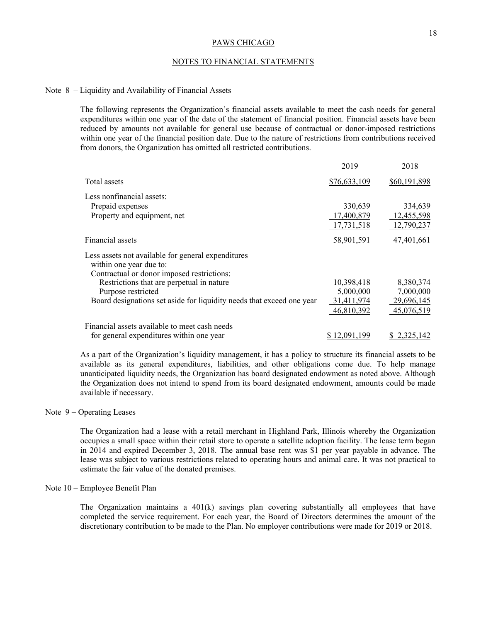## NOTES TO FINANCIAL STATEMENTS

## Note 8 – Liquidity and Availability of Financial Assets

The following represents the Organization's financial assets available to meet the cash needs for general expenditures within one year of the date of the statement of financial position. Financial assets have been reduced by amounts not available for general use because of contractual or donor-imposed restrictions within one year of the financial position date. Due to the nature of restrictions from contributions received from donors, the Organization has omitted all restricted contributions.

|                                                                                                                             | 2019         | 2018         |
|-----------------------------------------------------------------------------------------------------------------------------|--------------|--------------|
| Total assets                                                                                                                | \$76,633,109 | \$60,191,898 |
| Less nonfinancial assets:                                                                                                   |              |              |
| Prepaid expenses                                                                                                            | 330,639      | 334,639      |
| Property and equipment, net                                                                                                 | 17,400,879   | 12,455,598   |
|                                                                                                                             | 17,731,518   | 12,790,237   |
| Financial assets                                                                                                            | 58,901,591   | 47,401,661   |
| Less assets not available for general expenditures<br>within one year due to:<br>Contractual or donor imposed restrictions: |              |              |
| Restrictions that are perpetual in nature                                                                                   | 10,398,418   | 8,380,374    |
| Purpose restricted                                                                                                          | 5,000,000    | 7,000,000    |
| Board designations set aside for liquidity needs that exceed one year                                                       | 31,411,974   | 29,696,145   |
|                                                                                                                             | 46,810,392   | 45,076,519   |
| Financial assets available to meet cash needs                                                                               |              |              |
| for general expenditures within one year                                                                                    | 12.091.199   | 2.325.142    |

As a part of the Organization's liquidity management, it has a policy to structure its financial assets to be available as its general expenditures, liabilities, and other obligations come due. To help manage unanticipated liquidity needs, the Organization has board designated endowment as noted above. Although the Organization does not intend to spend from its board designated endowment, amounts could be made available if necessary.

## Note  $9$  – Operating Leases

The Organization had a lease with a retail merchant in Highland Park, Illinois whereby the Organization occupies a small space within their retail store to operate a satellite adoption facility. The lease term began in 2014 and expired December 3, 2018. The annual base rent was \$1 per year payable in advance. The lease was subject to various restrictions related to operating hours and animal care. It was not practical to estimate the fair value of the donated premises.

## Note 10 – Employee Benefit Plan

The Organization maintains a  $401(k)$  savings plan covering substantially all employees that have completed the service requirement. For each year, the Board of Directors determines the amount of the discretionary contribution to be made to the Plan. No employer contributions were made for 2019 or 2018.